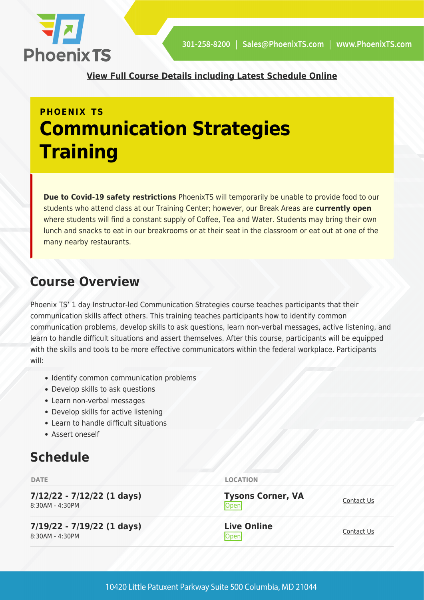

**[View Full Course Details including Latest Schedule Online](https://phoenixts.com/training-courses/communication-strategies/)**

# **PHOENIX TS Communication Strategies Training**

**Due to Covid-19 safety restrictions** PhoenixTS will temporarily be unable to provide food to our students who attend class at our Training Center; however, our Break Areas are **currently open** where students will find a constant supply of Coffee, Tea and Water. Students may bring their own lunch and snacks to eat in our breakrooms or at their seat in the classroom or eat out at one of the many nearby restaurants.

#### **Course Overview**

Phoenix TS' 1 day Instructor-led Communication Strategies course teaches participants that their communication skills affect others. This training teaches participants how to identify common communication problems, develop skills to ask questions, learn non-verbal messages, active listening, and learn to handle difficult situations and assert themselves. After this course, participants will be equipped with the skills and tools to be more effective communicators within the federal workplace. Participants will:

- Identify common communication problems
- Develop skills to ask questions
- Learn non-verbal messages
- Develop skills for active listening
- Learn to handle difficult situations
- Assert oneself

## **Schedule**

| <b>DATE</b>                                     | <b>LOCATION</b>                  |            |
|-------------------------------------------------|----------------------------------|------------|
| $7/12/22 - 7/12/22$ (1 days)<br>8:30AM - 4:30PM | <b>Tysons Corner, VA</b><br>Open | Contact Us |
| $7/19/22 - 7/19/22$ (1 days)<br>8:30AM - 4:30PM | <b>Live Online</b><br>Open       | Contact Us |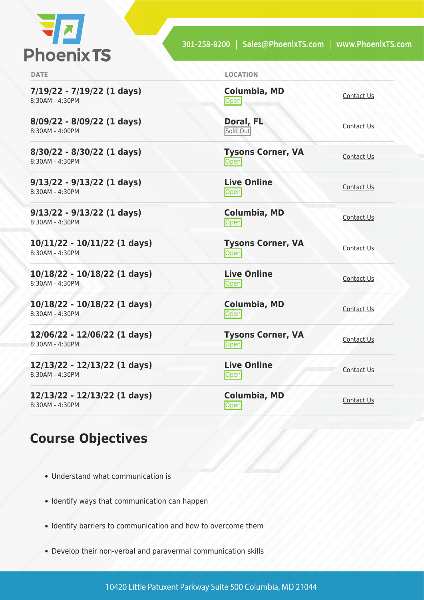

**7/19/22 - 7/19/22 (1 days)** 8:30AM - 4:30PM

**8/09/22 - 8/09/22 (1 days)** 8:30AM - 4:00PM

**8/30/22 - 8/30/22 (1 days)** 8:30AM - 4:30PM

**9/13/22 - 9/13/22 (1 days)** 8:30AM - 4:30PM

**9/13/22 - 9/13/22 (1 days)** 8:30AM - 4:30PM

**10/11/22 - 10/11/22 (1 days)** 8:30AM - 4:30PM

**10/18/22 - 10/18/22 (1 days)** 8:30AM - 4:30PM

**10/18/22 - 10/18/22 (1 days)** 8:30AM - 4:30PM

**12/06/22 - 12/06/22 (1 days)** 8:30AM - 4:30PM

**12/13/22 - 12/13/22 (1 days)** 8:30AM - 4:30PM

**12/13/22 - 12/13/22 (1 days)** 8:30AM - 4:30PM

#### **Course Objectives**

- Understand what communication is
- Identify ways that communication can happen
- Identify barriers to communication and how to overcome them
- Develop their non-verbal and paravermal communication skills

**Columbia, MD** [Contact Us](https://phoenixts.com/schedule/more-info/?class=23407)<br>
Open

**Doral, FL** Sold Out

**Tysons Corner, VA Open** [Contact Us](https://phoenixts.com/schedule/more-info/?class=23392) Contact Us

**Live Online** <u>[Contact Us](https://phoenixts.com/schedule/more-info/?class=23397)</u>

**Columbia, MD** [Contact Us](https://phoenixts.com/schedule/more-info/?class=23408)<br>
Open

**Tysons Corner, VA Open** [Contact Us](https://phoenixts.com/schedule/more-info/?class=23393)

**Live Online** <u>Open</u> [Contact Us](https://phoenixts.com/schedule/more-info/?class=23396) Contact Us

**Columbia, MD** [Contact Us](https://phoenixts.com/schedule/more-info/?class=23409)<br>
Open

**Tysons Corner, VA Open** [Contact Us](https://phoenixts.com/schedule/more-info/?class=23394)

**Live Online** <u>Open</u> [Contact Us](https://phoenixts.com/schedule/more-info/?class=23395)

**Columbia, MD** [Contact Us](https://phoenixts.com/schedule/more-info/?class=23410)<br>
Open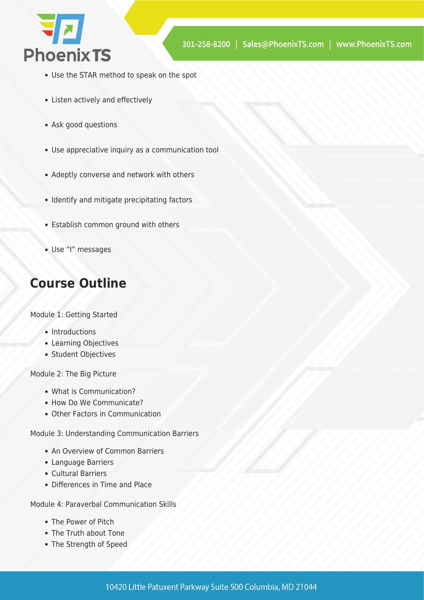

- Use the STAR method to speak on the spot
- Listen actively and effectively
- Ask good questions
- Use appreciative inquiry as a communication tool
- Adeptly converse and network with others
- Identify and mitigate precipitating factors
- Establish common ground with others
- Use "I" messages

## **Course Outline**

Module 1: Getting Started

- Introductions
- Learning Objectives
- Student Objectives

Module 2: The Big Picture

- What is Communication?
- How Do We Communicate?
- Other Factors in Communication

Module 3: Understanding Communication Barriers

- An Overview of Common Barriers
- Language Barriers
- Cultural Barriers
- Differences in Time and Place

Module 4: Paraverbal Communication Skills

- The Power of Pitch
- The Truth about Tone
- The Strength of Speed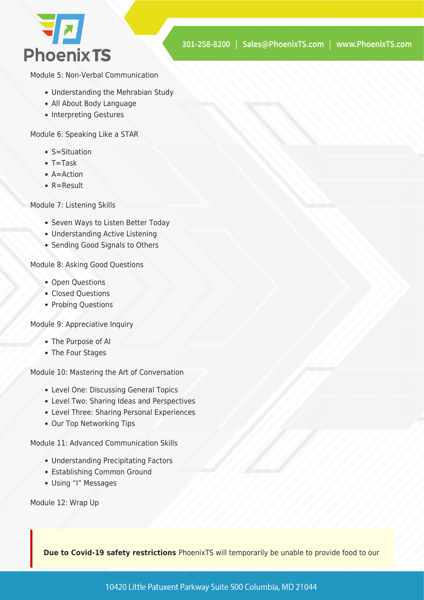

Module 5: Non-Verbal Communication

- Understanding the Mehrabian Study
- All About Body Language
- Interpreting Gestures

Module 6: Speaking Like a STAR

- S=Situation
- $\bullet$  T=Task
- $A =$ Action
- R=Result

Module 7: Listening Skills

- Seven Ways to Listen Better Today
- Understanding Active Listening
- Sending Good Signals to Others

Module 8: Asking Good Questions

- Open Questions
- Closed Ouestions
- Probing Questions

Module 9: Appreciative Inquiry

- The Purpose of AI
- The Four Stages

Module 10: Mastering the Art of Conversation

- Level One: Discussing General Topics
- Level Two: Sharing Ideas and Perspectives
- Level Three: Sharing Personal Experiences
- Our Top Networking Tips

Module 11: Advanced Communication Skills

- Understanding Precipitating Factors
- Establishing Common Ground
- Using "I" Messages

Module 12: Wrap Up

**Due to Covid-19 safety restrictions** PhoenixTS will temporarily be unable to provide food to our

10420 Little Patuxent Parkway Suite 500 Columbia, MD 21044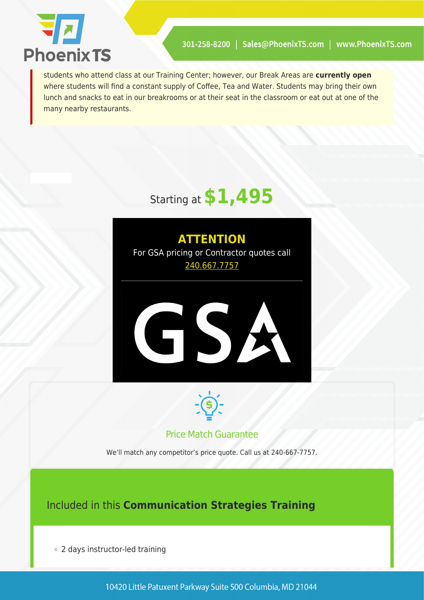

students who attend class at our Training Center; however, our Break Areas are **currently open** where students will find a constant supply of Coffee, Tea and Water. Students may bring their own lunch and snacks to eat in our breakrooms or at their seat in the classroom or eat out at one of the many nearby restaurants.







#### Price Match Guarantee

We'll match any competitor's price quote. Call us at 240-667-7757.

#### Included in this **Communication Strategies Training**

2 days instructor-led training

10420 Little Patuxent Parkway Suite 500 Columbia, MD 21044